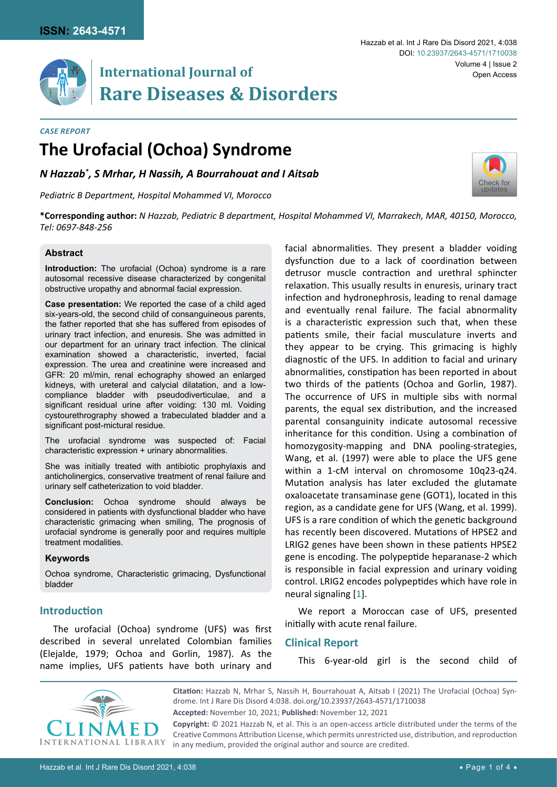

# **International Journal of** Open Access **Rare Diseases & Disorders**

#### *Case Report*

# **The Urofacial (Ochoa) Syndrome**

*N Hazzab\* , S Mrhar, H Nassih, A Bourrahouat and I Aitsab*

*Pediatric B Department, Hospital Mohammed VI, Morocco*



**\*Corresponding author:** *N Hazzab, Pediatric B department, Hospital Mohammed VI, Marrakech, MAR, 40150, Morocco, Tel: 0697-848-256*

## **Abstract**

**Introduction:** The urofacial (Ochoa) syndrome is a rare autosomal recessive disease characterized by congenital obstructive uropathy and abnormal facial expression.

**Case presentation:** We reported the case of a child aged six-years-old, the second child of consanguineous parents, the father reported that she has suffered from episodes of urinary tract infection, and enuresis. She was admitted in our department for an urinary tract infection. The clinical examination showed a characteristic, inverted, facial expression. The urea and creatinine were increased and GFR: 20 ml/min, renal echography showed an enlarged kidneys, with ureteral and calycial dilatation, and a lowcompliance bladder with pseudodiverticulae, and a significant residual urine after voiding: 130 ml. Voiding cystourethrography showed a trabeculated bladder and a significant post-mictural residue.

The urofacial syndrome was suspected of: Facial characteristic expression + urinary abnormalities.

She was initially treated with antibiotic prophylaxis and anticholinergics, conservative treatment of renal failure and urinary self catheterization to void bladder.

**Conclusion:** Ochoa syndrome should always be considered in patients with dysfunctional bladder who have characteristic grimacing when smiling, The prognosis of urofacial syndrome is generally poor and requires multiple treatment modalities.

#### **Keywords**

Ochoa syndrome, Characteristic grimacing, Dysfunctional bladder

# **Introduction**

The urofacial (Ochoa) syndrome (UFS) was first described in several unrelated Colombian families (Elejalde, 1979; Ochoa and Gorlin, 1987). As the name implies, UFS patients have both urinary and facial abnormalities. They present a bladder voiding dysfunction due to a lack of coordination between detrusor muscle contraction and urethral sphincter relaxation. This usually results in enuresis, urinary tract infection and hydronephrosis, leading to renal damage and eventually renal failure. The facial abnormality is a characteristic expression such that, when these patients smile, their facial musculature inverts and they appear to be crying. This grimacing is highly diagnostic of the UFS. In addition to facial and urinary abnormalities, constipation has been reported in about two thirds of the patients (Ochoa and Gorlin, 1987). The occurrence of UFS in multiple sibs with normal parents, the equal sex distribution, and the increased parental consanguinity indicate autosomal recessive inheritance for this condition. Using a combination of homozygosity-mapping and DNA pooling-strategies, Wang, et al. (1997) were able to place the UFS gene within a 1-cM interval on chromosome 10q23-q24. Mutation analysis has later excluded the glutamate oxaloacetate transaminase gene (GOT1), located in this region, as a candidate gene for UFS (Wang, et al. 1999). UFS is a rare condition of which the genetic background has recently been discovered. Mutations of HPSE2 and LRIG2 genes have been shown in these patients HPSE2 gene is encoding. The polypeptide heparanase-2 which is responsible in facial expression and urinary voiding control. LRIG2 encodes polypeptides which have role in neural signaling [[1](#page-3-0)].

We report a Moroccan case of UFS, presented initially with acute renal failure.

## **Clinical Report**

This 6-year-old girl is the second child of

**Citation:** Hazzab N, Mrhar S, Nassih H, Bourrahouat A, Aitsab I (2021) The Urofacial (Ochoa) Syndrome. Int J Rare Dis Disord 4:038. [doi.org/10.23937/2643-4571/1710038](https://doi.org/10.23937/2643-4571/1710038)

**Copyright:** © 2021 Hazzab N, et al. This is an open-access article distributed under the terms of the Creative Commons Attribution License, which permits unrestricted use, distribution, and reproduction in any medium, provided the original author and source are credited.

**Accepted:** November 10, 2021; **Published:** November 12, 2021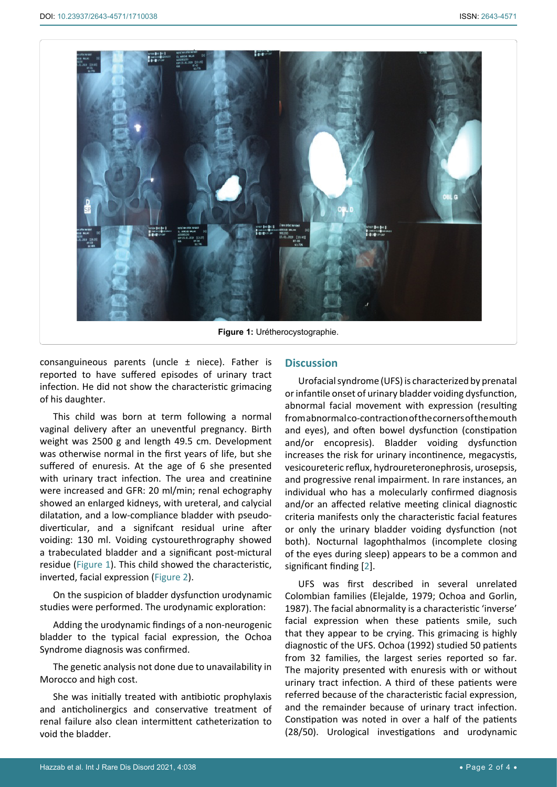<span id="page-1-0"></span>

consanguineous parents (uncle  $\pm$  niece). Father is reported to have suffered episodes of urinary tract infection. He did not show the characteristic grimacing of his daughter.

This child was born at term following a normal vaginal delivery after an uneventful pregnancy. Birth weight was 2500 g and length 49.5 cm. Development was otherwise normal in the first years of life, but she suffered of enuresis. At the age of 6 she presented with urinary tract infection. The urea and creatinine were increased and GFR: 20 ml/min; renal echography showed an enlarged kidneys, with ureteral, and calycial dilatation, and a low-compliance bladder with pseudodiverticular, and a signifcant residual urine after voiding: 130 ml. Voiding cystourethrography showed a trabeculated bladder and a significant post-mictural residue ([Figure 1](#page-1-0)). This child showed the characteristic, inverted, facial expression ([Figure 2](#page-2-0)).

On the suspicion of bladder dysfunction urodynamic studies were performed. The urodynamic exploration:

Adding the urodynamic findings of a non-neurogenic bladder to the typical facial expression, the Ochoa Syndrome diagnosis was confirmed.

The genetic analysis not done due to unavailability in Morocco and high cost.

She was initially treated with antibiotic prophylaxis and anticholinergics and conservative treatment of renal failure also clean intermittent catheterization to void the bladder.

# **Discussion**

Urofacial syndrome (UFS) is characterized by prenatal or infantile onset of urinary bladder voiding dysfunction, abnormal facial movement with expression (resulting from abnormal co-contraction of the corners of the mouth and eyes), and often bowel dysfunction (constipation and/or encopresis). Bladder voiding dysfunction increases the risk for urinary incontinence, megacystis, vesicoureteric reflux, hydroureteronephrosis, urosepsis, and progressive renal impairment. In rare instances, an individual who has a molecularly confirmed diagnosis and/or an affected relative meeting clinical diagnostic criteria manifests only the characteristic facial features or only the urinary bladder voiding dysfunction (not both). Nocturnal lagophthalmos (incomplete closing of the eyes during sleep) appears to be a common and significant finding [[2](#page-3-1)].

UFS was first described in several unrelated Colombian families (Elejalde, 1979; Ochoa and Gorlin, 1987). The facial abnormality is a characteristic 'inverse' facial expression when these patients smile, such that they appear to be crying. This grimacing is highly diagnostic of the UFS. Ochoa (1992) studied 50 patients from 32 families, the largest series reported so far. The majority presented with enuresis with or without urinary tract infection. A third of these patients were referred because of the characteristic facial expression, and the remainder because of urinary tract infection. Constipation was noted in over a half of the patients (28/50). Urological investigations and urodynamic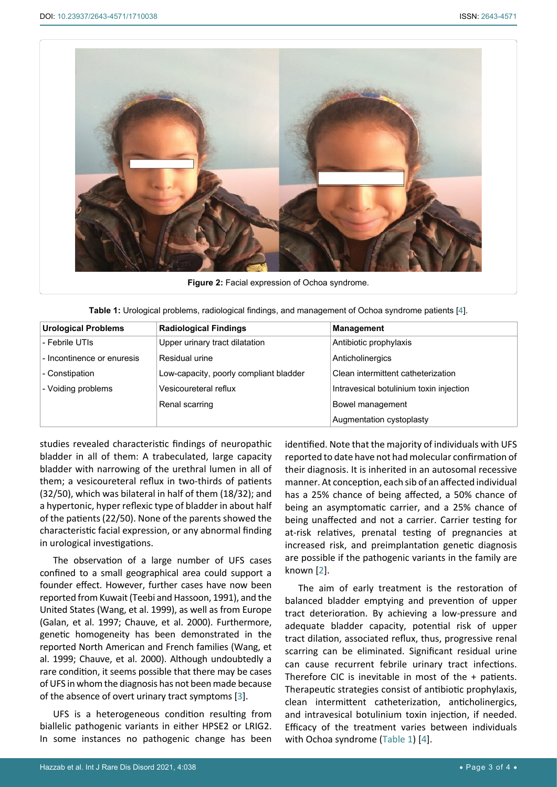<span id="page-2-0"></span>

**Figure 2:** Facial expression of Ochoa syndrome.

<span id="page-2-1"></span>

|  |  | Table 1: Urological problems, radiological findings, and management of Ochoa syndrome patients [4]. |  |
|--|--|-----------------------------------------------------------------------------------------------------|--|
|  |  |                                                                                                     |  |

| <b>Urological Problems</b> | <b>Radiological Findings</b>           | <b>Management</b>                       |
|----------------------------|----------------------------------------|-----------------------------------------|
| - Febrile UTIs             | Upper urinary tract dilatation         | Antibiotic prophylaxis                  |
| - Incontinence or enuresis | Residual urine                         | Anticholinergics                        |
| - Constipation             | Low-capacity, poorly compliant bladder | Clean intermittent catheterization      |
| - Voiding problems         | Vesicoureteral reflux                  | Intravesical botulinium toxin injection |
|                            | Renal scarring                         | Bowel management                        |
|                            |                                        | Augmentation cystoplasty                |

studies revealed characteristic findings of neuropathic bladder in all of them: A trabeculated, large capacity bladder with narrowing of the urethral lumen in all of them; a vesicoureteral reflux in two-thirds of patients (32/50), which was bilateral in half of them (18/32); and a hypertonic, hyper reflexic type of bladder in about half of the patients (22/50). None of the parents showed the characteristic facial expression, or any abnormal finding in urological investigations.

The observation of a large number of UFS cases confined to a small geographical area could support a founder effect. However, further cases have now been reported from Kuwait (Teebi and Hassoon, 1991), and the United States (Wang, et al. 1999), as well as from Europe (Galan, et al. 1997; Chauve, et al. 2000). Furthermore, genetic homogeneity has been demonstrated in the reported North American and French families (Wang, et al. 1999; Chauve, et al. 2000). Although undoubtedly a rare condition, it seems possible that there may be cases of UFS in whom the diagnosis has not been made because of the absence of overt urinary tract symptoms [[3](#page-3-3)].

UFS is a heterogeneous condition resulting from biallelic pathogenic variants in either HPSE2 or LRIG2. In some instances no pathogenic change has been identified. Note that the majority of individuals with UFS reported to date have not had molecular confirmation of their diagnosis. It is inherited in an autosomal recessive manner. At conception, each sib of an affected individual has a 25% chance of being affected, a 50% chance of being an asymptomatic carrier, and a 25% chance of being unaffected and not a carrier. Carrier testing for at-risk relatives, prenatal testing of pregnancies at increased risk, and preimplantation genetic diagnosis are possible if the pathogenic variants in the family are known [[2](#page-3-1)].

The aim of early treatment is the restoration of balanced bladder emptying and prevention of upper tract deterioration. By achieving a low-pressure and adequate bladder capacity, potential risk of upper tract dilation, associated reflux, thus, progressive renal scarring can be eliminated. Significant residual urine can cause recurrent febrile urinary tract infections. Therefore CIC is inevitable in most of the + patients. Therapeutic strategies consist of antibiotic prophylaxis, clean intermittent catheterization, anticholinergics, and intravesical botulinium toxin injection, if needed. Efficacy of the treatment varies between individuals with Ochoa syndrome ([Table 1](#page-2-1)) [[4](#page-3-2)].